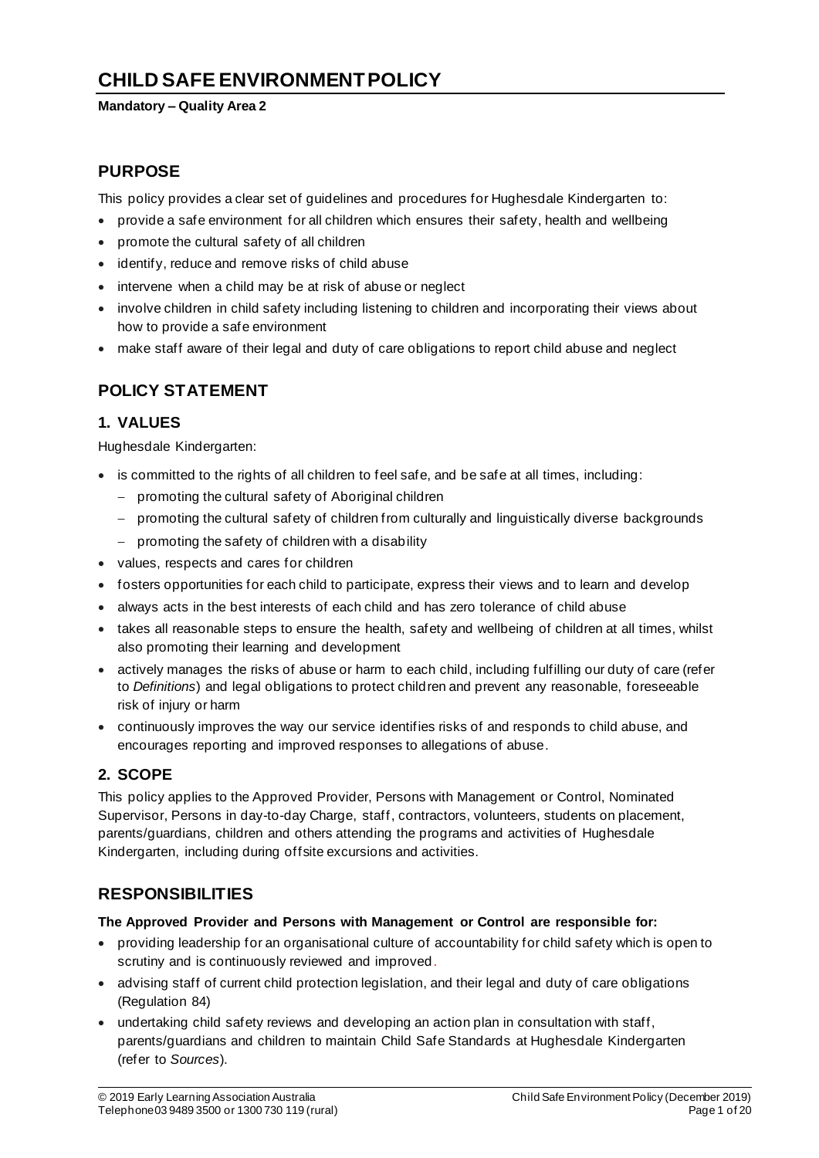# **CHILD SAFE ENVIRONMENTPOLICY**

#### **Mandatory – Quality Area 2**

## **PURPOSE**

This policy provides a clear set of guidelines and procedures for Hughesdale Kindergarten to:

- provide a safe environment for all children which ensures their safety, health and wellbeing
- promote the cultural safety of all children
- identify, reduce and remove risks of child abuse
- intervene when a child may be at risk of abuse or neglect
- involve children in child safety including listening to children and incorporating their views about how to provide a safe environment
- make staff aware of their legal and duty of care obligations to report child abuse and neglect

## **POLICY STATEMENT**

### **1. VALUES**

Hughesdale Kindergarten:

- is committed to the rights of all children to feel safe, and be safe at all times, including:
	- − promoting the cultural safety of Aboriginal children
	- − promoting the cultural safety of children from culturally and linguistically diverse backgrounds
	- − promoting the safety of children with a disability
- values, respects and cares for children
- fosters opportunities for each child to participate, express their views and to learn and develop
- always acts in the best interests of each child and has zero tolerance of child abuse
- takes all reasonable steps to ensure the health, safety and wellbeing of children at all times, whilst also promoting their learning and development
- actively manages the risks of abuse or harm to each child, including fulfilling our duty of care (refer to *Definitions*) and legal obligations to protect children and prevent any reasonable, foreseeable risk of injury or harm
- continuously improves the way our service identifies risks of and responds to child abuse, and encourages reporting and improved responses to allegations of abuse.

## **2. SCOPE**

This policy applies to the Approved Provider, Persons with Management or Control, Nominated Supervisor, Persons in day-to-day Charge, staff, contractors, volunteers, students on placement, parents/guardians, children and others attending the programs and activities of Hughesdale Kindergarten, including during offsite excursions and activities.

## **RESPONSIBILITIES**

### **The Approved Provider and Persons with Management or Control are responsible for:**

- providing leadership for an organisational culture of accountability for child safety which is open to scrutiny and is continuously reviewed and improved.
- advising staff of current child protection legislation, and their legal and duty of care obligations (Regulation 84)
- undertaking child safety reviews and developing an action plan in consultation with staff, parents/guardians and children to maintain Child Safe Standards at Hughesdale Kindergarten (refer to *Sources*).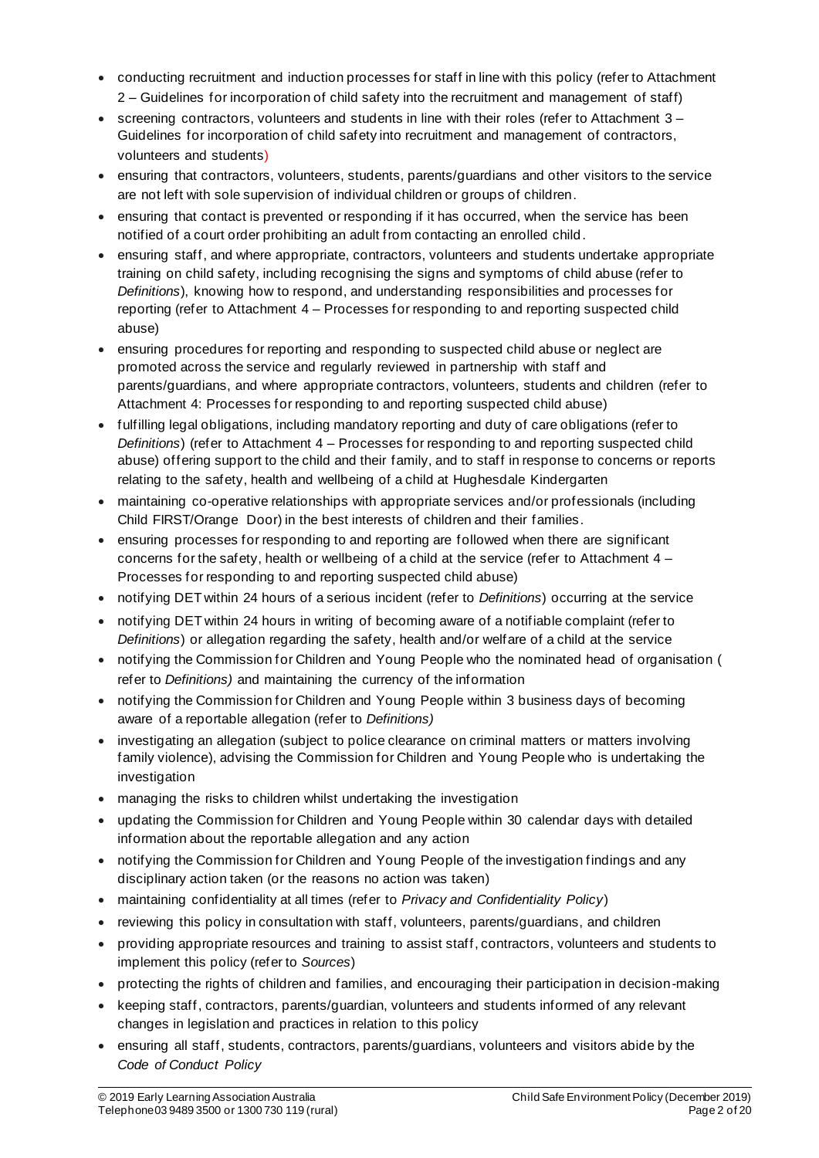- conducting recruitment and induction processes for staff in line with this policy (refer to Attachment 2 – Guidelines for incorporation of child safety into the recruitment and management of staff)
- screening contractors, volunteers and students in line with their roles (refer to Attachment 3 Guidelines for incorporation of child safety into recruitment and management of contractors, volunteers and students)
- ensuring that contractors, volunteers, students, parents/guardians and other visitors to the service are not left with sole supervision of individual children or groups of children.
- ensuring that contact is prevented or responding if it has occurred, when the service has been notified of a court order prohibiting an adult from contacting an enrolled child.
- ensuring staff, and where appropriate, contractors, volunteers and students undertake appropriate training on child safety, including recognising the signs and symptoms of child abuse (refer to *Definitions*), knowing how to respond, and understanding responsibilities and processes for reporting (refer to Attachment 4 – Processes for responding to and reporting suspected child abuse)
- ensuring procedures for reporting and responding to suspected child abuse or neglect are promoted across the service and regularly reviewed in partnership with staff and parents/guardians, and where appropriate contractors, volunteers, students and children (refer to Attachment 4: Processes for responding to and reporting suspected child abuse)
- fulfilling legal obligations, including mandatory reporting and duty of care obligations (refer to *Definitions*) (refer to Attachment 4 – Processes for responding to and reporting suspected child abuse) offering support to the child and their family, and to staff in response to concerns or reports relating to the safety, health and wellbeing of a child at Hughesdale Kindergarten
- maintaining co-operative relationships with appropriate services and/or professionals (including Child FIRST/Orange Door) in the best interests of children and their families.
- ensuring processes for responding to and reporting are followed when there are significant concerns for the safety, health or wellbeing of a child at the service (refer to Attachment  $4 -$ Processes for responding to and reporting suspected child abuse)
- notifying DET within 24 hours of a serious incident (refer to *Definitions*) occurring at the service
- notifying DET within 24 hours in writing of becoming aware of a notifiable complaint (refer to *Definitions*) or allegation regarding the safety, health and/or welfare of a child at the service
- notifying the Commission for Children and Young People who the nominated head of organisation ( refer to *Definitions)* and maintaining the currency of the information
- notifying the Commission for Children and Young People within 3 business days of becoming aware of a reportable allegation (refer to *Definitions)*
- investigating an allegation (subject to police clearance on criminal matters or matters involving family violence), advising the Commission for Children and Young People who is undertaking the investigation
- managing the risks to children whilst undertaking the investigation
- updating the Commission for Children and Young People within 30 calendar days with detailed information about the reportable allegation and any action
- notifying the Commission for Children and Young People of the investigation findings and any disciplinary action taken (or the reasons no action was taken)
- maintaining confidentiality at all times (refer to *Privacy and Confidentiality Policy*)
- reviewing this policy in consultation with staff, volunteers, parents/guardians, and children
- providing appropriate resources and training to assist staff, contractors, volunteers and students to implement this policy (refer to *Sources*)
- protecting the rights of children and families, and encouraging their participation in decision-making
- keeping staff, contractors, parents/guardian, volunteers and students informed of any relevant changes in legislation and practices in relation to this policy
- ensuring all staff, students, contractors, parents/guardians, volunteers and visitors abide by the *Code of Conduct Policy*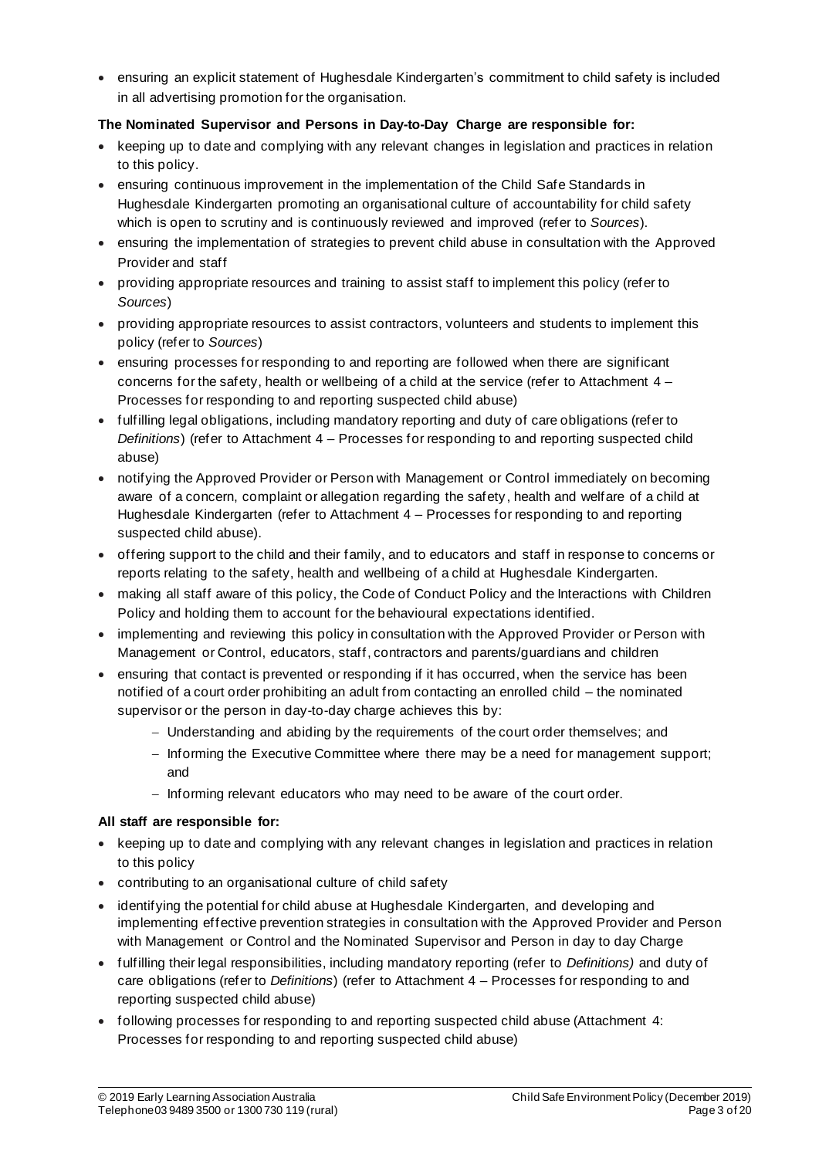• ensuring an explicit statement of Hughesdale Kindergarten's commitment to child safety is included in all advertising promotion for the organisation.

### **The Nominated Supervisor and Persons in Day-to-Day Charge are responsible for:**

- keeping up to date and complying with any relevant changes in legislation and practices in relation to this policy.
- ensuring continuous improvement in the implementation of the Child Safe Standards in Hughesdale Kindergarten promoting an organisational culture of accountability for child safety which is open to scrutiny and is continuously reviewed and improved (refer to *Sources*).
- ensuring the implementation of strategies to prevent child abuse in consultation with the Approved Provider and staff
- providing appropriate resources and training to assist staff to implement this policy (refer to *Sources*)
- providing appropriate resources to assist contractors, volunteers and students to implement this policy (refer to *Sources*)
- ensuring processes for responding to and reporting are followed when there are significant concerns for the safety, health or wellbeing of a child at the service (refer to Attachment 4 – Processes for responding to and reporting suspected child abuse)
- fulfilling legal obligations, including mandatory reporting and duty of care obligations (refer to *Definitions*) (refer to Attachment 4 – Processes for responding to and reporting suspected child abuse)
- notifying the Approved Provider or Person with Management or Control immediately on becoming aware of a concern, complaint or allegation regarding the safety, health and welfare of a child at Hughesdale Kindergarten (refer to Attachment 4 – Processes for responding to and reporting suspected child abuse).
- offering support to the child and their family, and to educators and staff in response to concerns or reports relating to the safety, health and wellbeing of a child at Hughesdale Kindergarten.
- making all staff aware of this policy, the Code of Conduct Policy and the Interactions with Children Policy and holding them to account for the behavioural expectations identified.
- implementing and reviewing this policy in consultation with the Approved Provider or Person with Management or Control, educators, staff, contractors and parents/guardians and children
- ensuring that contact is prevented or responding if it has occurred, when the service has been notified of a court order prohibiting an adult from contacting an enrolled child – the nominated supervisor or the person in day-to-day charge achieves this by:
	- − Understanding and abiding by the requirements of the court order themselves; and
	- − Informing the Executive Committee where there may be a need for management support; and
	- − Informing relevant educators who may need to be aware of the court order.

### **All staff are responsible for:**

- keeping up to date and complying with any relevant changes in legislation and practices in relation to this policy
- contributing to an organisational culture of child safety
- identifying the potential for child abuse at Hughesdale Kindergarten, and developing and implementing effective prevention strategies in consultation with the Approved Provider and Person with Management or Control and the Nominated Supervisor and Person in day to day Charge
- fulfilling their legal responsibilities, including mandatory reporting (refer to *Definitions)* and duty of care obligations (refer to *Definitions*) (refer to Attachment 4 – Processes for responding to and reporting suspected child abuse)
- following processes for responding to and reporting suspected child abuse (Attachment 4: Processes for responding to and reporting suspected child abuse)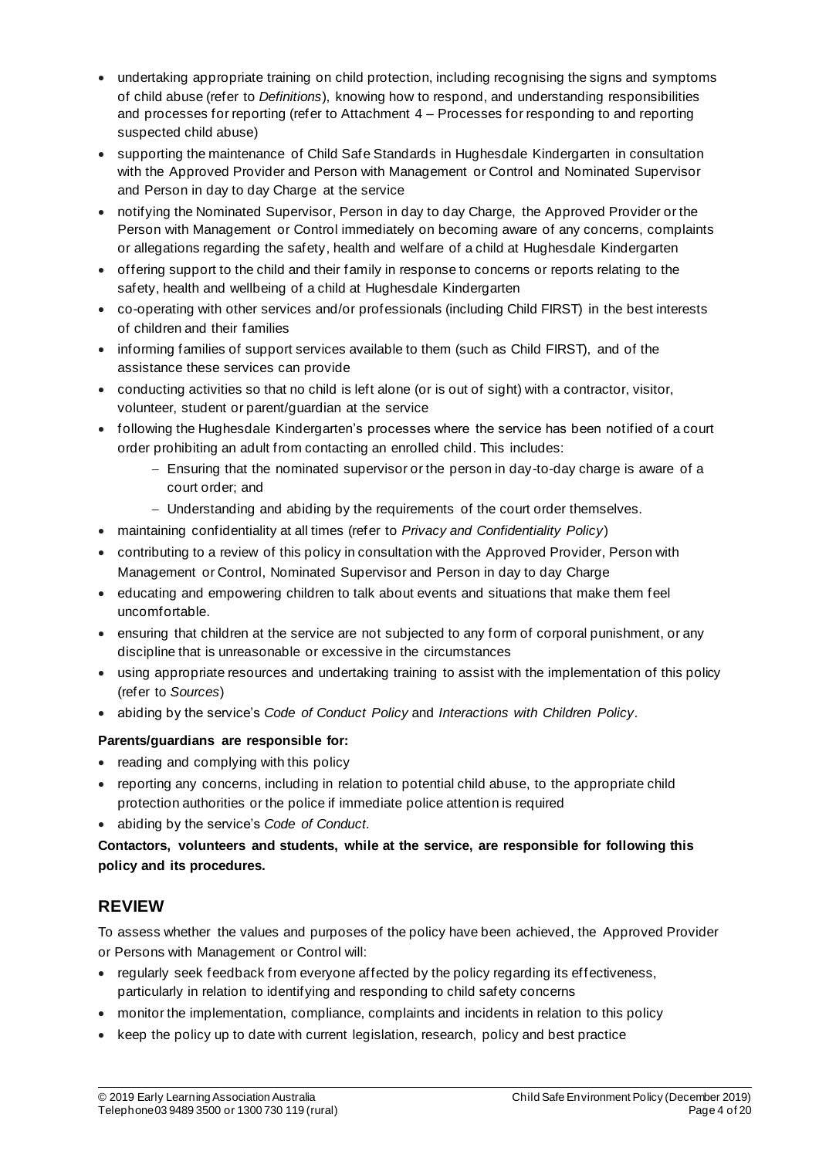- undertaking appropriate training on child protection, including recognising the signs and symptoms of child abuse (refer to *Definitions*), knowing how to respond, and understanding responsibilities and processes for reporting (refer to Attachment 4 – Processes for responding to and reporting suspected child abuse)
- supporting the maintenance of Child Safe Standards in Hughesdale Kindergarten in consultation with the Approved Provider and Person with Management or Control and Nominated Supervisor and Person in day to day Charge at the service
- notifying the Nominated Supervisor, Person in day to day Charge, the Approved Provider or the Person with Management or Control immediately on becoming aware of any concerns, complaints or allegations regarding the safety, health and welfare of a child at Hughesdale Kindergarten
- offering support to the child and their family in response to concerns or reports relating to the safety, health and wellbeing of a child at Hughesdale Kindergarten
- co-operating with other services and/or professionals (including Child FIRST) in the best interests of children and their families
- informing families of support services available to them (such as Child FIRST), and of the assistance these services can provide
- conducting activities so that no child is left alone (or is out of sight) with a contractor, visitor, volunteer, student or parent/guardian at the service
- following the Hughesdale Kindergarten's processes where the service has been notified of a court order prohibiting an adult from contacting an enrolled child. This includes:
	- − Ensuring that the nominated supervisor or the person in day-to-day charge is aware of a court order; and
	- − Understanding and abiding by the requirements of the court order themselves.
- maintaining confidentiality at all times (refer to *Privacy and Confidentiality Policy*)
- contributing to a review of this policy in consultation with the Approved Provider, Person with Management or Control, Nominated Supervisor and Person in day to day Charge
- educating and empowering children to talk about events and situations that make them feel uncomfortable.
- ensuring that children at the service are not subjected to any form of corporal punishment, or any discipline that is unreasonable or excessive in the circumstances
- using appropriate resources and undertaking training to assist with the implementation of this policy (refer to *Sources*)
- abiding by the service's *Code of Conduct Policy* and *Interactions with Children Policy.*

### **Parents/guardians are responsible for:**

- reading and complying with this policy
- reporting any concerns, including in relation to potential child abuse, to the appropriate child protection authorities or the police if immediate police attention is required
- abiding by the service's *Code of Conduct.*

**Contactors, volunteers and students, while at the service, are responsible for following this policy and its procedures.**

## **REVIEW**

To assess whether the values and purposes of the policy have been achieved, the Approved Provider or Persons with Management or Control will:

- regularly seek feedback from everyone affected by the policy regarding its effectiveness, particularly in relation to identifying and responding to child safety concerns
- monitor the implementation, compliance, complaints and incidents in relation to this policy
- keep the policy up to date with current legislation, research, policy and best practice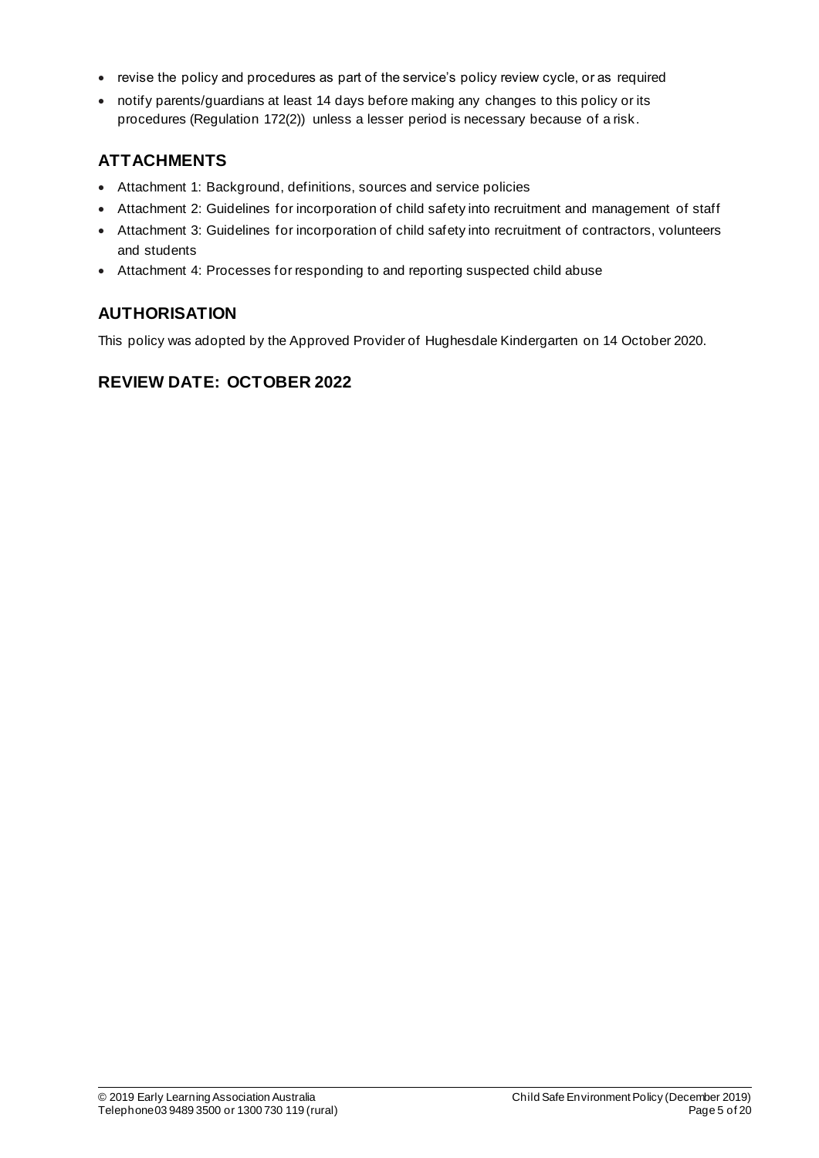- revise the policy and procedures as part of the service's policy review cycle, or as required
- notify parents/guardians at least 14 days before making any changes to this policy or its procedures (Regulation 172(2)) unless a lesser period is necessary because of a risk.

## **ATTACHMENTS**

- Attachment 1: Background, definitions, sources and service policies
- Attachment 2: Guidelines for incorporation of child safety into recruitment and management of staff
- Attachment 3: Guidelines for incorporation of child safety into recruitment of contractors, volunteers and students
- Attachment 4: Processes for responding to and reporting suspected child abuse

## **AUTHORISATION**

This policy was adopted by the Approved Provider of Hughesdale Kindergarten on 14 October 2020.

## **REVIEW DATE: OCTOBER 2022**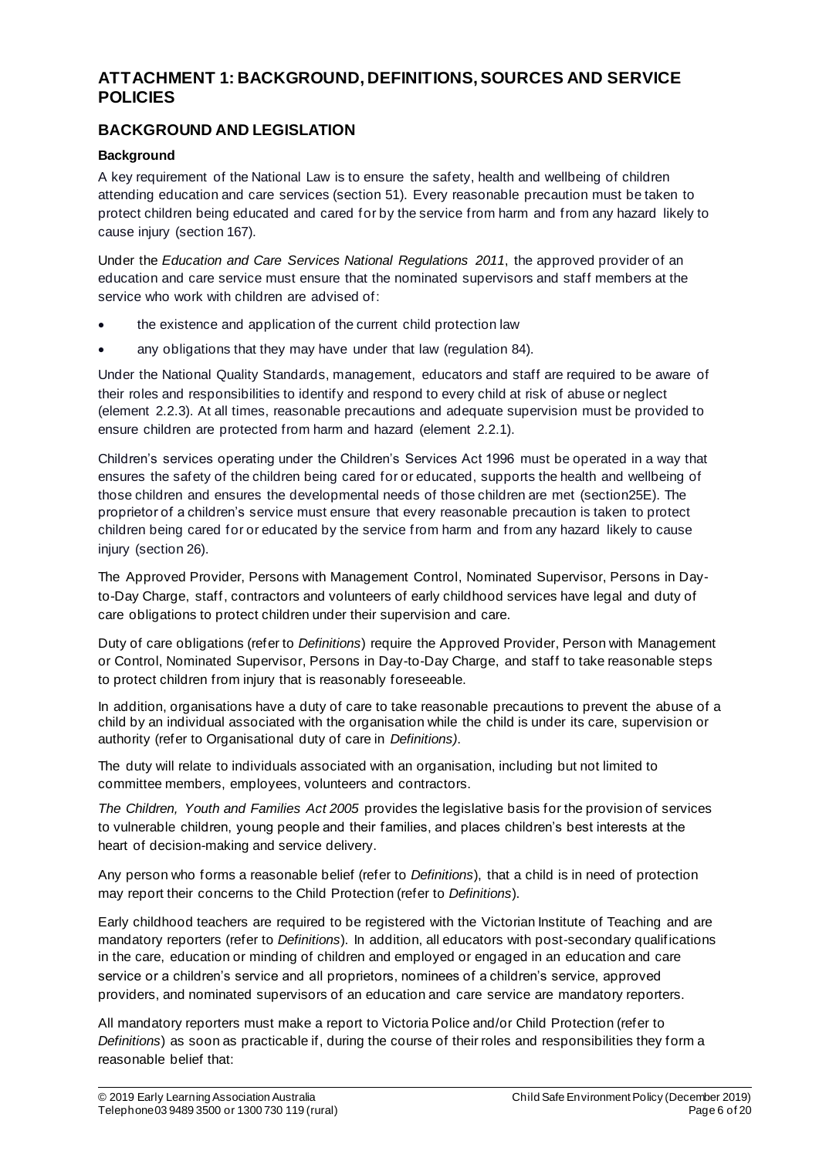## **ATTACHMENT 1: BACKGROUND, DEFINITIONS, SOURCES AND SERVICE POLICIES**

## **BACKGROUND AND LEGISLATION**

### **Background**

A key requirement of the National Law is to ensure the safety, health and wellbeing of children attending education and care services (section 51). Every reasonable precaution must be taken to protect children being educated and cared for by the service from harm and from any hazard likely to cause injury (section 167).

Under the *Education and Care Services National Regulations 2011*, the approved provider of an education and care service must ensure that the nominated supervisors and staff members at the service who work with children are advised of:

- the existence and application of the current child protection law
- any obligations that they may have under that law (regulation 84).

Under the National Quality Standards, management, educators and staff are required to be aware of their roles and responsibilities to identify and respond to every child at risk of abuse or neglect (element 2.2.3). At all times, reasonable precautions and adequate supervision must be provided to ensure children are protected from harm and hazard (element 2.2.1).

Children's services operating under the Children's Services Act 1996 must be operated in a way that ensures the safety of the children being cared for or educated, supports the health and wellbeing of those children and ensures the developmental needs of those children are met (section25E). The proprietor of a children's service must ensure that every reasonable precaution is taken to protect children being cared for or educated by the service from harm and from any hazard likely to cause injury (section 26).

The Approved Provider, Persons with Management Control, Nominated Supervisor, Persons in Dayto-Day Charge, staff, contractors and volunteers of early childhood services have legal and duty of care obligations to protect children under their supervision and care.

Duty of care obligations (refer to *Definitions*) require the Approved Provider, Person with Management or Control, Nominated Supervisor, Persons in Day-to-Day Charge, and staff to take reasonable steps to protect children from injury that is reasonably foreseeable.

In addition, organisations have a duty of care to take reasonable precautions to prevent the abuse of a child by an individual associated with the organisation while the child is under its care, supervision or authority (refer to Organisational duty of care in *Definitions)*.

The duty will relate to individuals associated with an organisation, including but not limited to committee members, employees, volunteers and contractors.

*The Children, Youth and Families Act 2005* provides the legislative basis for the provision of services to vulnerable children, young people and their families, and places children's best interests at the heart of decision-making and service delivery.

Any person who forms a reasonable belief (refer to *Definitions*), that a child is in need of protection may report their concerns to the Child Protection (refer to *Definitions*).

Early childhood teachers are required to be registered with the Victorian Institute of Teaching and are mandatory reporters (refer to *Definitions*). In addition, all educators with post-secondary qualifications in the care, education or minding of children and employed or engaged in an education and care service or a children's service and all proprietors, nominees of a children's service, approved providers, and nominated supervisors of an education and care service are mandatory reporters.

All mandatory reporters must make a report to Victoria Police and/or Child Protection (refer to *Definitions*) as soon as practicable if, during the course of their roles and responsibilities they form a reasonable belief that: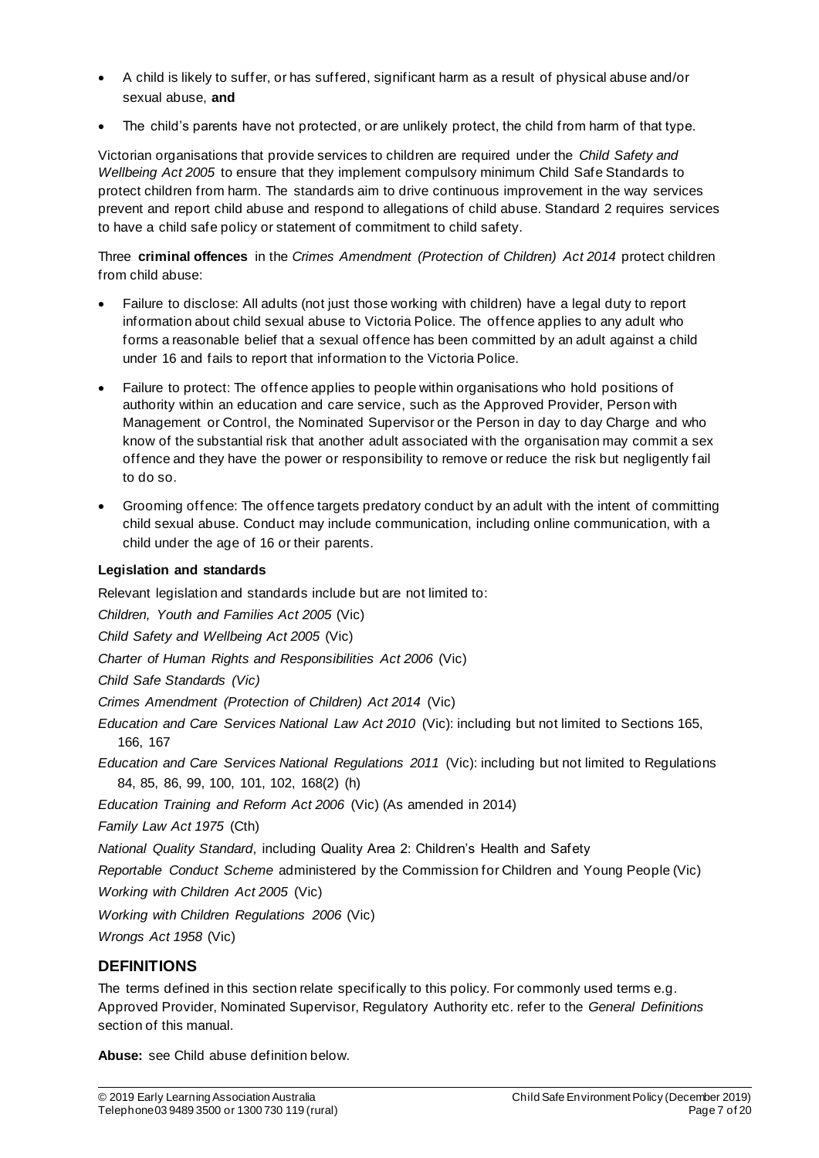- A child is likely to suffer, or has suffered, significant harm as a result of physical abuse and/or sexual abuse, **and**
- The child's parents have not protected, or are unlikely protect, the child from harm of that type.

Victorian organisations that provide services to children are required under the *Child Safety and Wellbeing Act 2005* to ensure that they implement compulsory minimum Child Safe Standards to protect children from harm. The standards aim to drive continuous improvement in the way services prevent and report child abuse and respond to allegations of child abuse. Standard 2 requires services to have a child safe policy or statement of commitment to child safety.

Three **criminal offences** in the *Crimes Amendment (Protection of Children) Act 2014* protect children from child abuse:

- Failure to disclose: All adults (not just those working with children) have a legal duty to report information about child sexual abuse to Victoria Police. The offence applies to any adult who forms a reasonable belief that a sexual offence has been committed by an adult against a child under 16 and fails to report that information to the Victoria Police.
- Failure to protect: The offence applies to people within organisations who hold positions of authority within an education and care service, such as the Approved Provider, Person with Management or Control, the Nominated Supervisor or the Person in day to day Charge and who know of the substantial risk that another adult associated with the organisation may commit a sex offence and they have the power or responsibility to remove or reduce the risk but negligently fail to do so.
- Grooming offence: The offence targets predatory conduct by an adult with the intent of committing child sexual abuse. Conduct may include communication, including online communication, with a child under the age of 16 or their parents.

### **Legislation and standards**

Relevant legislation and standards include but are not limited to:

*Children, Youth and Families Act 2005* (Vic)

*Child Safety and Wellbeing Act 2005* (Vic)

*Charter of Human Rights and Responsibilities Act 2006* (Vic)

*Child Safe Standards (Vic)*

*Crimes Amendment (Protection of Children) Act 2014* (Vic)

*Education and Care Services National Law Act 2010* (Vic): including but not limited to Sections 165, 166, 167

*Education and Care Services National Regulations 2011* (Vic): including but not limited to Regulations 84, 85, 86, 99, 100, 101, 102, 168(2) (h)

*Education Training and Reform Act 2006* (Vic) (As amended in 2014)

*Family Law Act 1975* (Cth)

*National Quality Standard*, including Quality Area 2: Children's Health and Safety

*Reportable Conduct Scheme* administered by the Commission for Children and Young People (Vic)

*Working with Children Act 2005* (Vic)

*Working with Children Regulations 2006* (Vic)

*Wrongs Act 1958* (Vic)

### **DEFINITIONS**

The terms defined in this section relate specifically to this policy. For commonly used terms e.g. Approved Provider, Nominated Supervisor, Regulatory Authority etc. refer to the *General Definitions* section of this manual.

**Abuse:** see Child abuse definition below.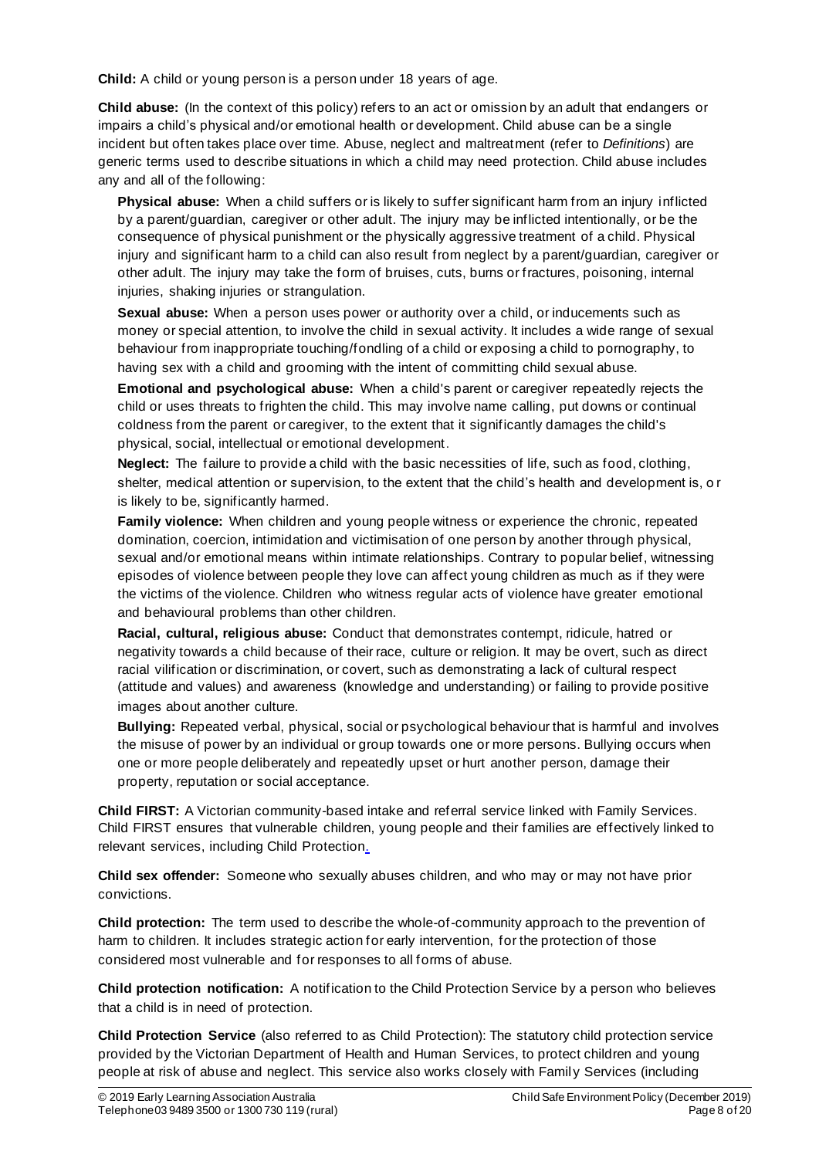**Child:** A child or young person is a person under 18 years of age.

**Child abuse:** (In the context of this policy) refers to an act or omission by an adult that endangers or impairs a child's physical and/or emotional health or development. Child abuse can be a single incident but often takes place over time. Abuse, neglect and maltreatment (refer to *Definitions*) are generic terms used to describe situations in which a child may need protection. Child abuse includes any and all of the following:

**Physical abuse:** When a child suffers or is likely to suffer significant harm from an injury inflicted by a parent/guardian, caregiver or other adult. The injury may be inflicted intentionally, or be the consequence of physical punishment or the physically aggressive treatment of a child. Physical injury and significant harm to a child can also result from neglect by a parent/guardian, caregiver or other adult. The injury may take the form of bruises, cuts, burns or fractures, poisoning, internal injuries, shaking injuries or strangulation.

**Sexual abuse:** When a person uses power or authority over a child, or inducements such as money or special attention, to involve the child in sexual activity. It includes a wide range of sexual behaviour from inappropriate touching/fondling of a child or exposing a child to pornography, to having sex with a child and grooming with the intent of committing child sexual abuse.

**Emotional and psychological abuse:** When a child's parent or caregiver repeatedly rejects the child or uses threats to frighten the child. This may involve name calling, put downs or continual coldness from the parent or caregiver, to the extent that it significantly damages the child's physical, social, intellectual or emotional development.

**Neglect:** The failure to provide a child with the basic necessities of life, such as food, clothing, shelter, medical attention or supervision, to the extent that the child's health and development is, o r is likely to be, significantly harmed.

**Family violence:** When children and young people witness or experience the chronic, repeated domination, coercion, intimidation and victimisation of one person by another through physical, sexual and/or emotional means within intimate relationships. Contrary to popular belief, witnessing episodes of violence between people they love can affect young children as much as if they were the victims of the violence. Children who witness regular acts of violence have greater emotional and behavioural problems than other children.

**Racial, cultural, religious abuse:** Conduct that demonstrates contempt, ridicule, hatred or negativity towards a child because of their race, culture or religion. It may be overt, such as direct racial vilification or discrimination, or covert, such as demonstrating a lack of cultural respect (attitude and values) and awareness (knowledge and understanding) or failing to provide positive images about another culture.

**Bullying:** Repeated verbal, physical, social or psychological behaviour that is harmful and involves the misuse of power by an individual or group towards one or more persons. Bullying occurs when one or more people deliberately and repeatedly upset or hurt another person, damage their property, reputation or social acceptance.

**Child FIRST:** A Victorian community-based intake and referral service linked with Family Services. Child FIRST ensures that vulnerable children, young people and their families are effectively linked to relevant services, including Child Protection.

**Child sex offender:** Someone who sexually abuses children, and who may or may not have prior convictions.

**Child protection:** The term used to describe the whole-of-community approach to the prevention of harm to children. It includes strategic action for early intervention, for the protection of those considered most vulnerable and for responses to all forms of abuse.

**Child protection notification:** A notification to the Child Protection Service by a person who believes that a child is in need of protection.

**Child Protection Service** (also referred to as Child Protection): The statutory child protection service provided by the Victorian Department of Health and Human Services, to protect children and young people at risk of abuse and neglect. This service also works closely with Family Services (including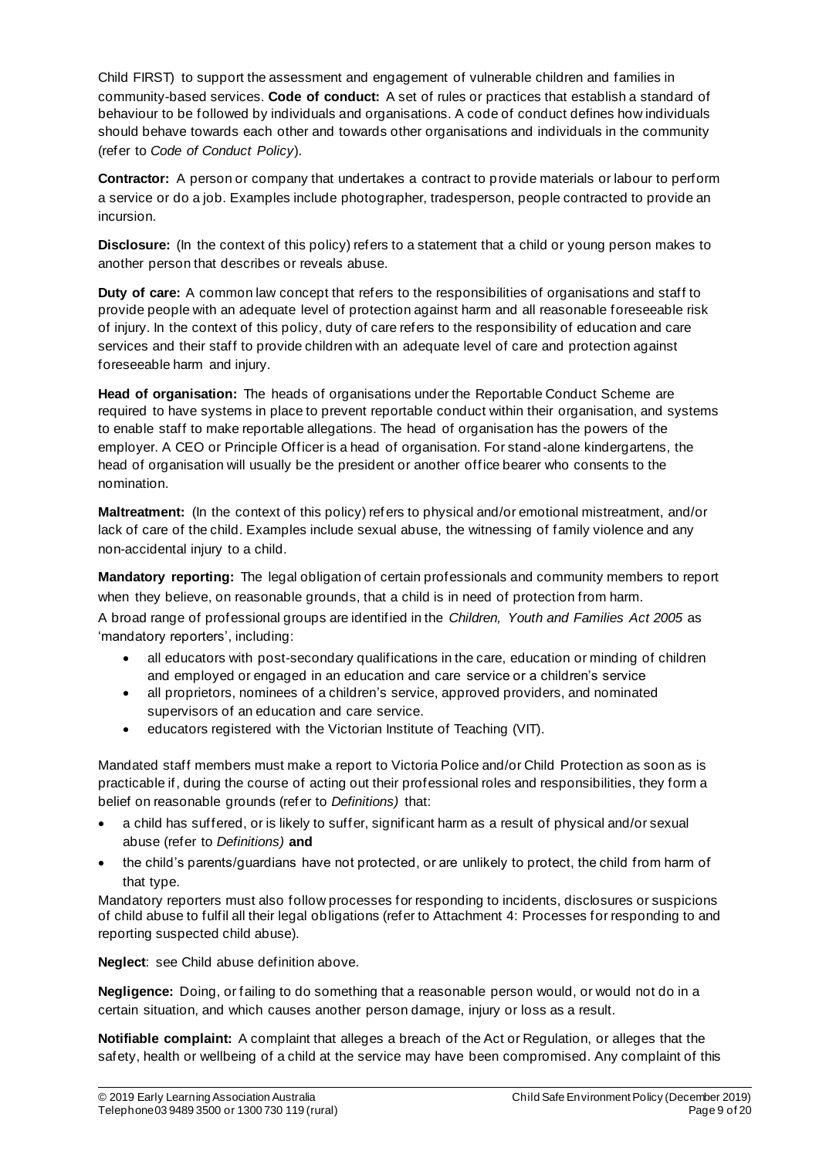Child FIRST) to support the assessment and engagement of vulnerable children and families in community-based services. **Code of conduct:** A set of rules or practices that establish a standard of behaviour to be followed by individuals and organisations. A code of conduct defines how individuals should behave towards each other and towards other organisations and individuals in the community (refer to *Code of Conduct Policy*).

**Contractor:** A person or company that undertakes a contract to provide materials or labour to perform a service or do a job. Examples include photographer, tradesperson, people contracted to provide an incursion.

**Disclosure:** (In the context of this policy) refers to a statement that a child or young person makes to another person that describes or reveals abuse.

**Duty of care:** A common law concept that refers to the responsibilities of organisations and staff to provide people with an adequate level of protection against harm and all reasonable foreseeable risk of injury. In the context of this policy, duty of care refers to the responsibility of education and care services and their staff to provide children with an adequate level of care and protection against foreseeable harm and injury.

**Head of organisation:** The heads of organisations under the Reportable Conduct Scheme are required to have systems in place to prevent reportable conduct within their organisation, and systems to enable staff to make reportable allegations. The head of organisation has the powers of the employer. A CEO or Principle Officer is a head of organisation. For stand -alone kindergartens, the head of organisation will usually be the president or another office bearer who consents to the nomination.

**Maltreatment:** (In the context of this policy) ref ers to physical and/or emotional mistreatment, and/or lack of care of the child. Examples include sexual abuse, the witnessing of family violence and any non-accidental injury to a child.

**Mandatory reporting:** The legal obligation of certain professionals and community members to report when they believe, on reasonable grounds, that a child is in need of protection from harm. A broad range of professional groups are identified in the *Children, Youth and Families Act 2005* as 'mandatory reporters', including:

- all educators with post-secondary qualifications in the care, education or minding of children and employed or engaged in an education and care service or a children's service
- all proprietors, nominees of a children's service, approved providers, and nominated supervisors of an education and care service.
- educators registered with the Victorian Institute of Teaching (VIT).

Mandated staff members must make a report to Victoria Police and/or Child Protection as soon as is practicable if, during the course of acting out their professional roles and responsibilities, they form a belief on reasonable grounds (refer to *Definitions)* that:

- a child has suffered, or is likely to suffer, significant harm as a result of physical and/or sexual abuse (refer to *Definitions)* **and**
- the child's parents/guardians have not protected, or are unlikely to protect, the child from harm of that type.

Mandatory reporters must also follow processes for responding to incidents, disclosures or suspicions of child abuse to fulfil all their legal obligations (refer to Attachment 4: Processes for responding to and reporting suspected child abuse).

**Neglect**: see Child abuse definition above.

**Negligence:** Doing, or failing to do something that a reasonable person would, or would not do in a certain situation, and which causes another person damage, injury or loss as a result.

**Notifiable complaint:** A complaint that alleges a breach of the Act or Regulation, or alleges that the safety, health or wellbeing of a child at the service may have been compromised. Any complaint of this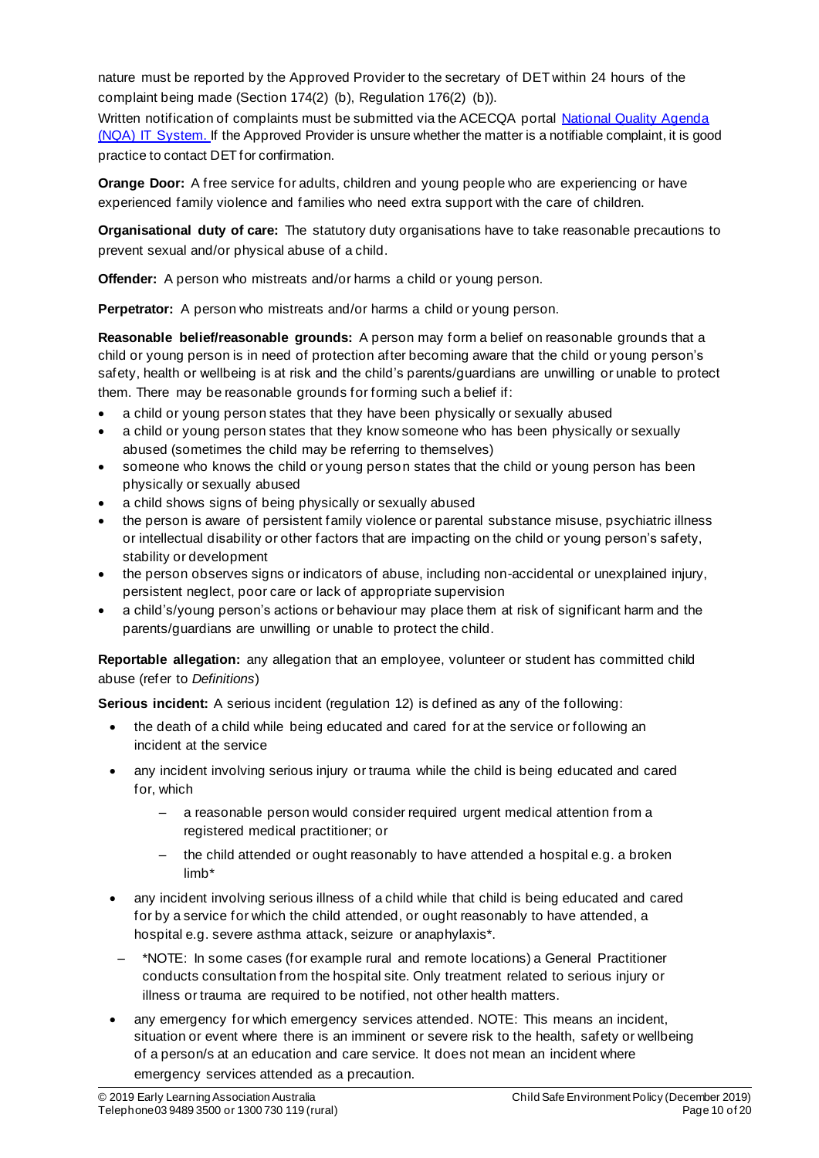nature must be reported by the Approved Provider to the secretary of DET within 24 hours of the complaint being made (Section 174(2) (b), Regulation 176(2) (b)).

Written notification of complaints must be submitted via the ACECQA portal National Quality Agenda (NQA) IT System. If the Approved Provider is unsure whether the matter is a notifiable complaint, it is good practice to contact DET for confirmation.

**Orange Door:** A free service for adults, children and young people who are experiencing or have experienced family violence and families who need extra support with the care of children.

**Organisational duty of care:** The statutory duty organisations have to take reasonable precautions to prevent sexual and/or physical abuse of a child.

**Offender:** A person who mistreats and/or harms a child or young person.

**Perpetrator:** A person who mistreats and/or harms a child or young person.

**Reasonable belief/reasonable grounds:** A person may form a belief on reasonable grounds that a child or young person is in need of protection after becoming aware that the child or young person's safety, health or wellbeing is at risk and the child's parents/guardians are unwilling or unable to protect them. There may be reasonable grounds for forming such a belief if:

- a child or young person states that they have been physically or sexually abused
- a child or young person states that they know someone who has been physically or sexually abused (sometimes the child may be referring to themselves)
- someone who knows the child or young person states that the child or young person has been physically or sexually abused
- a child shows signs of being physically or sexually abused
- the person is aware of persistent family violence or parental substance misuse, psychiatric illness or intellectual disability or other factors that are impacting on the child or young person's safety, stability or development
- the person observes signs or indicators of abuse, including non-accidental or unexplained injury, persistent neglect, poor care or lack of appropriate supervision
- a child's/young person's actions or behaviour may place them at risk of significant harm and the parents/guardians are unwilling or unable to protect the child.

**Reportable allegation:** any allegation that an employee, volunteer or student has committed child abuse (refer to *Definitions*)

**Serious incident:** A serious incident (regulation 12) is defined as any of the following:

- the death of a child while being educated and cared for at the service or following an incident at the service
- any incident involving serious injury or trauma while the child is being educated and cared for, which
	- a reasonable person would consider required urgent medical attention from a registered medical practitioner; or
	- the child attended or ought reasonably to have attended a hospital e.g. a broken limb\*
- any incident involving serious illness of a child while that child is being educated and cared for by a service for which the child attended, or ought reasonably to have attended, a hospital e.g. severe asthma attack, seizure or anaphylaxis\*.
- \*NOTE: In some cases (for example rural and remote locations) a General Practitioner conducts consultation from the hospital site. Only treatment related to serious injury or illness or trauma are required to be notified, not other health matters.
- any emergency for which emergency services attended. NOTE: This means an incident, situation or event where there is an imminent or severe risk to the health, safety or wellbeing of a person/s at an education and care service. It does not mean an incident where emergency services attended as a precaution.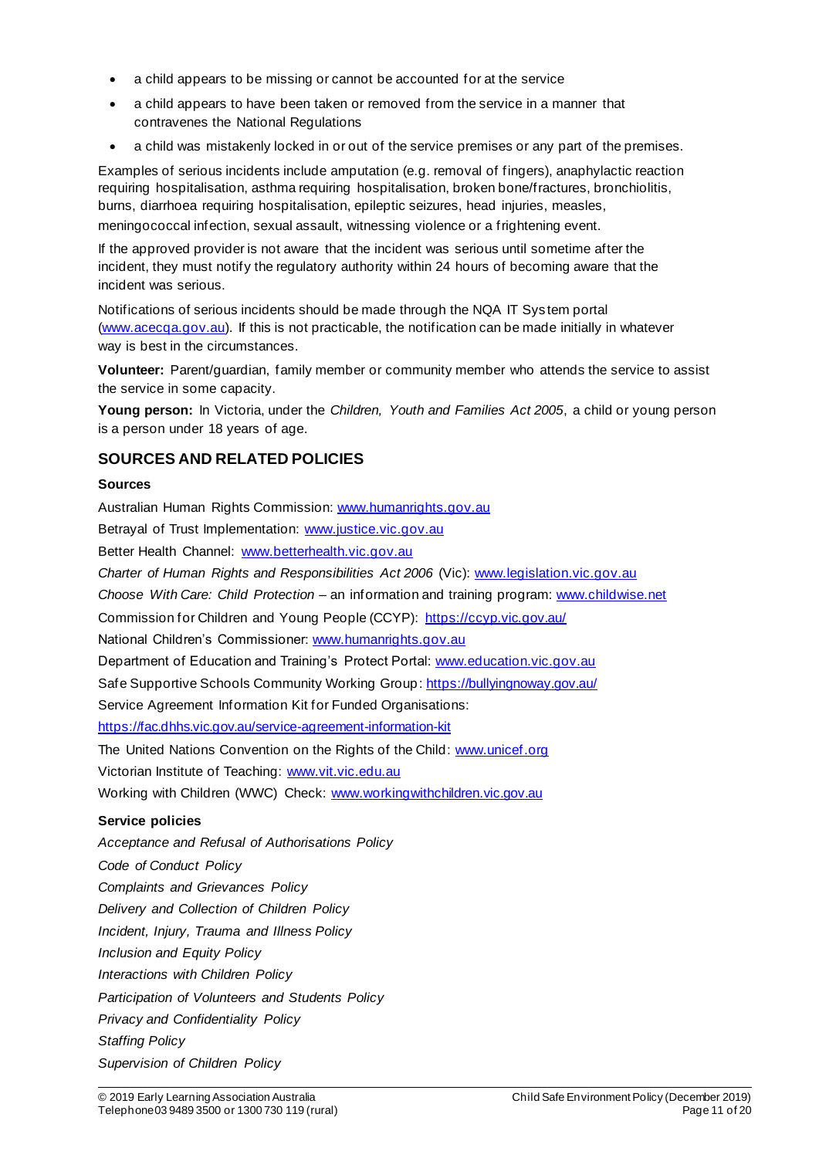- a child appears to be missing or cannot be accounted for at the service
- a child appears to have been taken or removed from the service in a manner that contravenes the National Regulations
- a child was mistakenly locked in or out of the service premises or any part of the premises.

Examples of serious incidents include amputation (e.g. removal of fingers), anaphylactic reaction requiring hospitalisation, asthma requiring hospitalisation, broken bone/fractures, bronchiolitis, burns, diarrhoea requiring hospitalisation, epileptic seizures, head injuries, measles, meningococcal infection, sexual assault, witnessing violence or a frightening event.

If the approved provider is not aware that the incident was serious until sometime after the incident, they must notify the regulatory authority within 24 hours of becoming aware that the incident was serious.

Notifications of serious incidents should be made through the NQA IT Sys tem portal (www.acecqa.gov.au). If this is not practicable, the notification can be made initially in whatever way is best in the circumstances.

**Volunteer:** Parent/guardian, family member or community member who attends the service to assist the service in some capacity.

**Young person:** In Victoria, under the *Children, Youth and Families Act 2005*, a child or young person is a person under 18 years of age.

## **SOURCES AND RELATED POLICIES**

### **Sources**

Australian Human Rights Commission: www.humanrights.gov.au

Betrayal of Trust Implementation: www.justice.vic.gov.au

Better Health Channel: www.betterhealth.vic.gov.au

*Charter of Human Rights and Responsibilities Act 2006* (Vic): www.legislation.vic.gov.au

*Choose With Care: Child Protection* – an information and training program: www.childwise.net

Commission for Children and Young People (CCYP): https://ccyp.vic.gov.au/

National Children's Commissioner: www.humanrights.gov.au

Department of Education and Training's Protect Portal: www.education.vic.gov.au

Safe Supportive Schools Community Working Group: https://bullyingnoway.gov.au/

Service Agreement Information Kit for Funded Organisations:

https://fac.dhhs.vic.gov.au/service-agreement-information-kit

The United Nations Convention on the Rights of the Child: www.unicef.org

Victorian Institute of Teaching: www.vit.vic.edu.au

Working with Children (WWC) Check: www.workingwithchildren.vic.gov.au

#### **Service policies**

*Acceptance and Refusal of Authorisations Policy Code of Conduct Policy Complaints and Grievances Policy Delivery and Collection of Children Policy Incident, Injury, Trauma and Illness Policy Inclusion and Equity Policy Interactions with Children Policy Participation of Volunteers and Students Policy Privacy and Confidentiality Policy Staffing Policy*

*Supervision of Children Policy*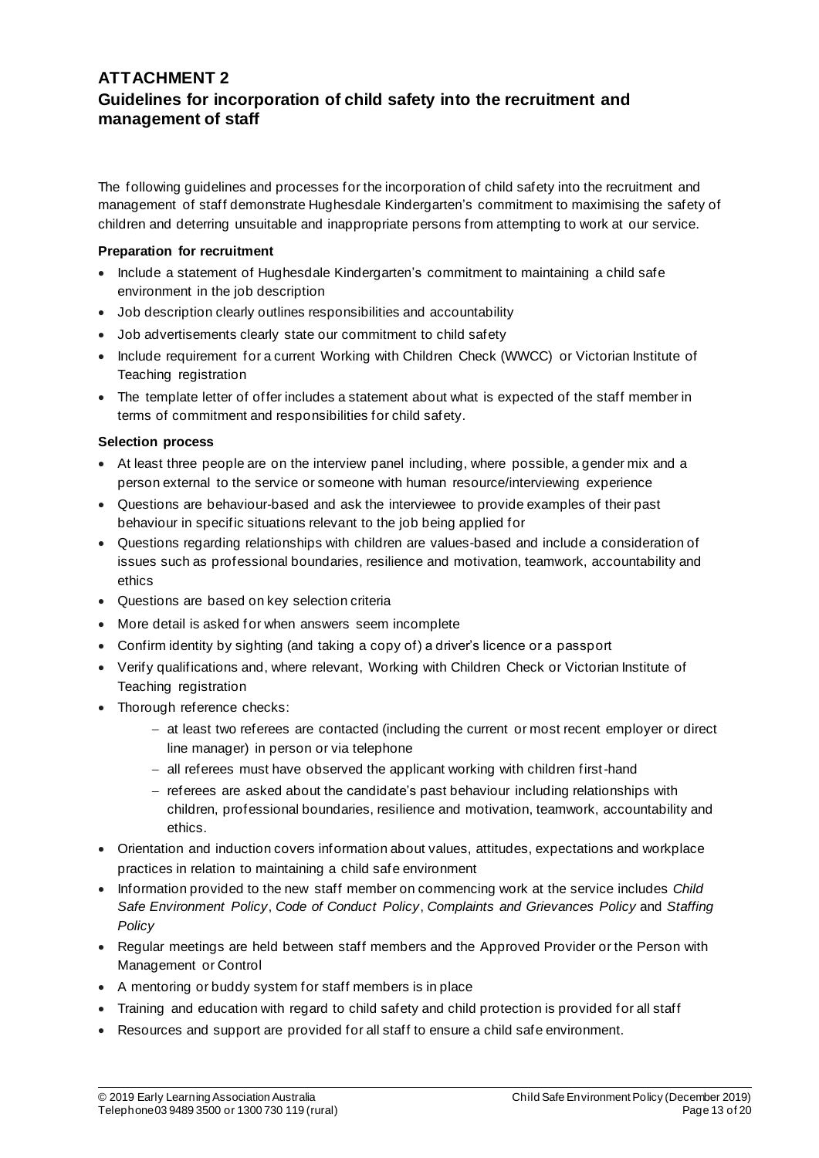## **ATTACHMENT 2 Guidelines for incorporation of child safety into the recruitment and management of staff**

The following guidelines and processes for the incorporation of child safety into the recruitment and management of staff demonstrate Hughesdale Kindergarten's commitment to maximising the safety of children and deterring unsuitable and inappropriate persons from attempting to work at our service.

#### **Preparation for recruitment**

- Include a statement of Hughesdale Kindergarten's commitment to maintaining a child safe environment in the job description
- Job description clearly outlines responsibilities and accountability
- Job advertisements clearly state our commitment to child safety
- Include requirement for a current Working with Children Check (WWCC) or Victorian Institute of Teaching registration
- The template letter of offer includes a statement about what is expected of the staff member in terms of commitment and responsibilities for child safety.

#### **Selection process**

- At least three people are on the interview panel including, where possible, a gender mix and a person external to the service or someone with human resource/interviewing experience
- Questions are behaviour-based and ask the interviewee to provide examples of their past behaviour in specific situations relevant to the job being applied for
- Questions regarding relationships with children are values-based and include a consideration of issues such as professional boundaries, resilience and motivation, teamwork, accountability and ethics
- Questions are based on key selection criteria
- More detail is asked for when answers seem incomplete
- Confirm identity by sighting (and taking a copy of) a driver's licence or a passport
- Verify qualifications and, where relevant, Working with Children Check or Victorian Institute of Teaching registration
- Thorough reference checks:
	- − at least two referees are contacted (including the current or most recent employer or direct line manager) in person or via telephone
	- − all referees must have observed the applicant working with children first-hand
	- − referees are asked about the candidate's past behaviour including relationships with children, professional boundaries, resilience and motivation, teamwork, accountability and ethics.
- Orientation and induction covers information about values, attitudes, expectations and workplace practices in relation to maintaining a child safe environment
- Information provided to the new staff member on commencing work at the service includes *Child Safe Environment Policy*, *Code of Conduct Policy*, *Complaints and Grievances Policy* and *Staffing Policy*
- Regular meetings are held between staff members and the Approved Provider or the Person with Management or Control
- A mentoring or buddy system for staff members is in place
- Training and education with regard to child safety and child protection is provided for all staff
- Resources and support are provided for all staff to ensure a child safe environment.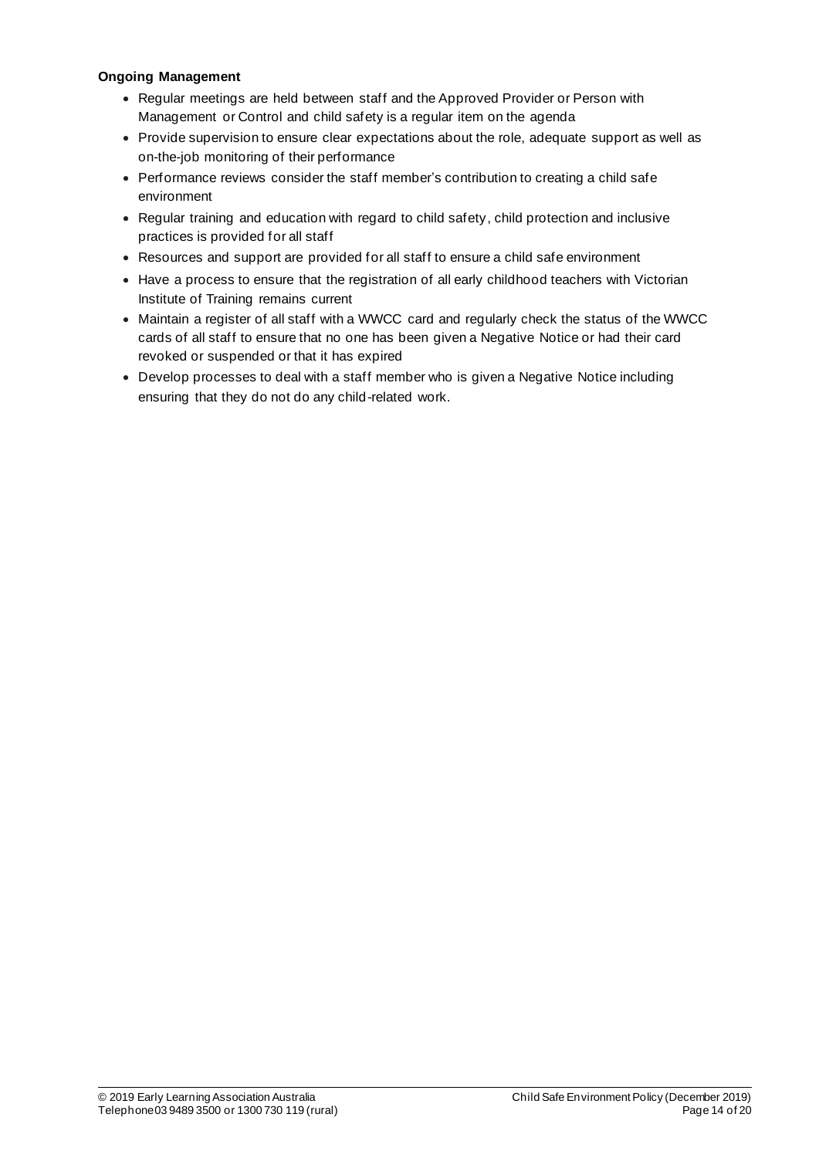### **Ongoing Management**

- Regular meetings are held between staff and the Approved Provider or Person with Management or Control and child safety is a regular item on the agenda
- Provide supervision to ensure clear expectations about the role, adequate support as well as on-the-job monitoring of their performance
- Performance reviews consider the staff member's contribution to creating a child safe environment
- Regular training and education with regard to child safety, child protection and inclusive practices is provided for all staff
- Resources and support are provided for all staff to ensure a child safe environment
- Have a process to ensure that the registration of all early childhood teachers with Victorian Institute of Training remains current
- Maintain a register of all staff with a WWCC card and regularly check the status of the WWCC cards of all staff to ensure that no one has been given a Negative Notice or had their card revoked or suspended or that it has expired
- Develop processes to deal with a staff member who is given a Negative Notice including ensuring that they do not do any child-related work.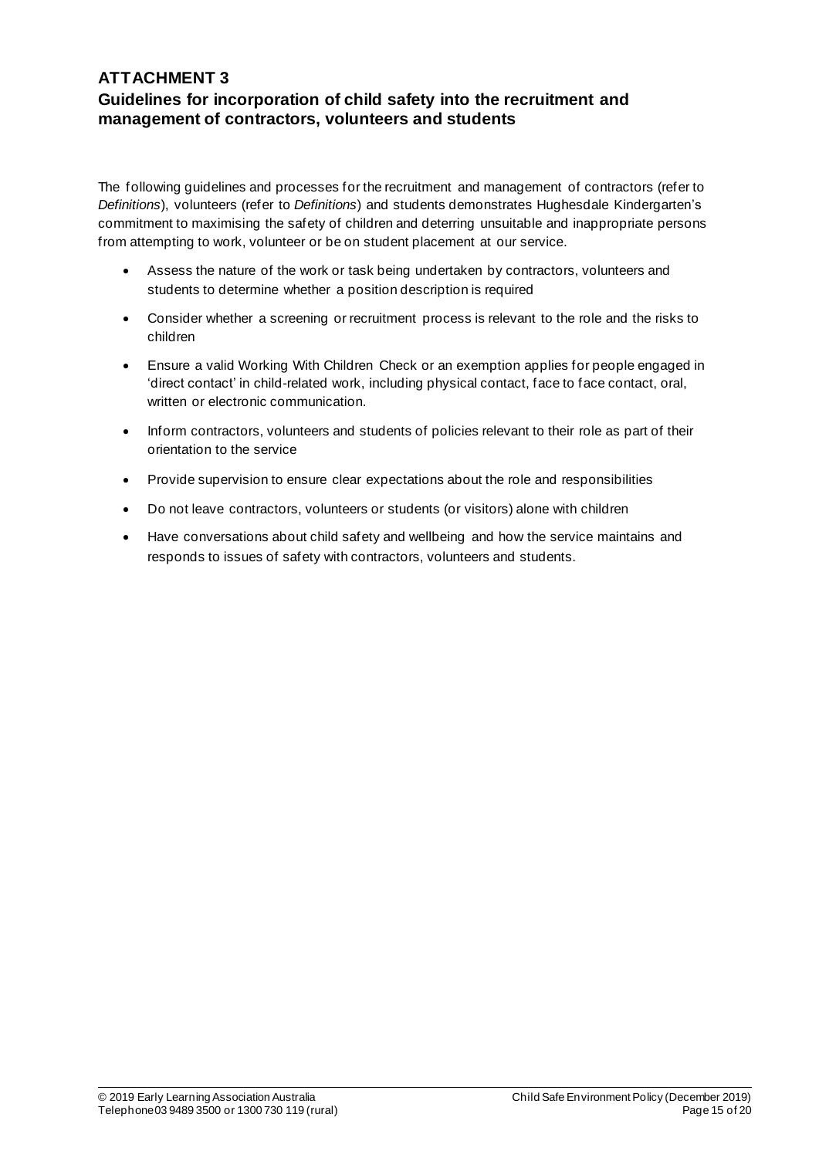## **ATTACHMENT 3 Guidelines for incorporation of child safety into the recruitment and management of contractors, volunteers and students**

The following guidelines and processes for the recruitment and management of contractors (refer to *Definitions*), volunteers (refer to *Definitions*) and students demonstrates Hughesdale Kindergarten's commitment to maximising the safety of children and deterring unsuitable and inappropriate persons from attempting to work, volunteer or be on student placement at our service.

- Assess the nature of the work or task being undertaken by contractors, volunteers and students to determine whether a position description is required
- Consider whether a screening or recruitment process is relevant to the role and the risks to children
- Ensure a valid Working With Children Check or an exemption applies for people engaged in 'direct contact' in child-related work, including physical contact, face to face contact, oral, written or electronic communication.
- Inform contractors, volunteers and students of policies relevant to their role as part of their orientation to the service
- Provide supervision to ensure clear expectations about the role and responsibilities
- Do not leave contractors, volunteers or students (or visitors) alone with children
- Have conversations about child safety and wellbeing and how the service maintains and responds to issues of safety with contractors, volunteers and students.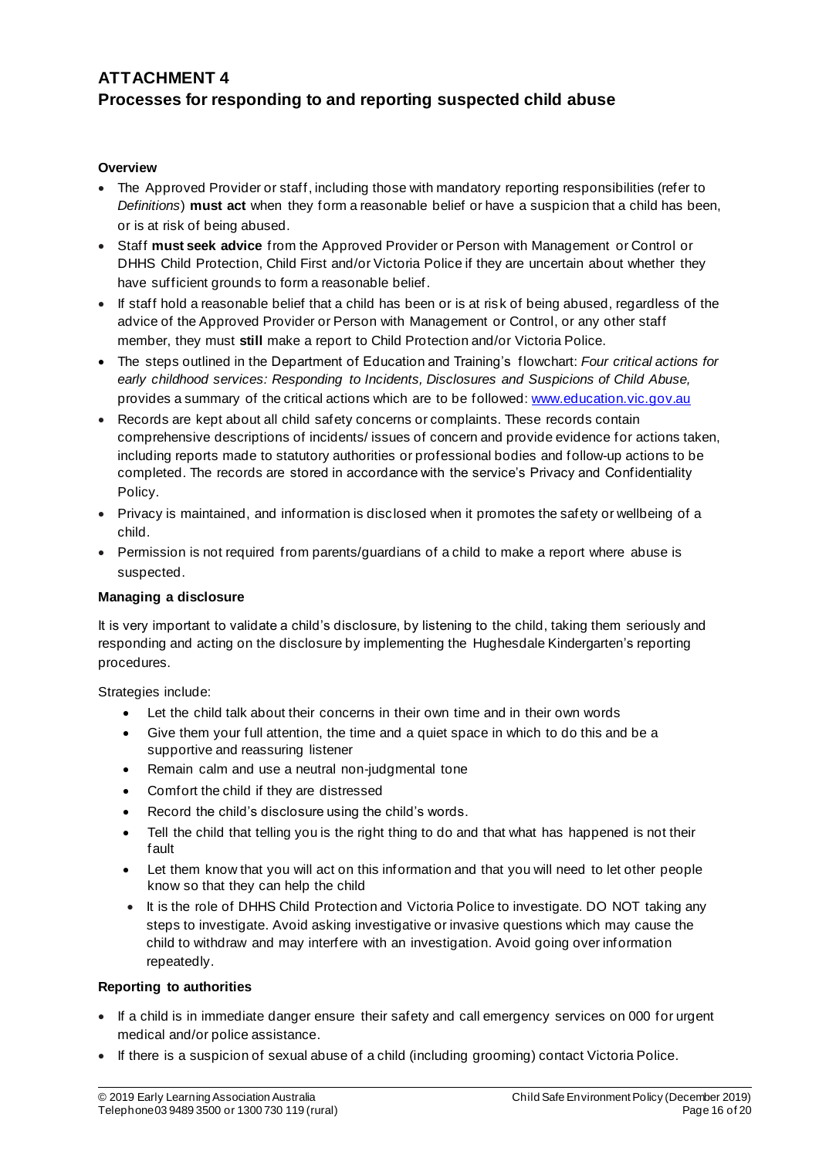## **ATTACHMENT 4 Processes for responding to and reporting suspected child abuse**

#### **Overview**

- The Approved Provider or staff, including those with mandatory reporting responsibilities (refer to *Definitions*) **must act** when they form a reasonable belief or have a suspicion that a child has been, or is at risk of being abused.
- Staff **must seek advice** from the Approved Provider or Person with Management or Control or DHHS Child Protection, Child First and/or Victoria Police if they are uncertain about whether they have sufficient grounds to form a reasonable belief.
- If staff hold a reasonable belief that a child has been or is at risk of being abused, regardless of the advice of the Approved Provider or Person with Management or Control, or any other staff member, they must **still** make a report to Child Protection and/or Victoria Police.
- The steps outlined in the Department of Education and Training's flowchart: *Four critical actions for early childhood services: Responding to Incidents, Disclosures and Suspicions of Child Abuse,*  provides a summary of the critical actions which are to be followed: www.education.vic.gov.au
- Records are kept about all child safety concerns or complaints. These records contain comprehensive descriptions of incidents/ issues of concern and provide evidence for actions taken, including reports made to statutory authorities or professional bodies and follow-up actions to be completed. The records are stored in accordance with the service's Privacy and Confidentiality Policy.
- Privacy is maintained, and information is disclosed when it promotes the safety or wellbeing of a child.
- Permission is not required from parents/guardians of a child to make a report where abuse is suspected.

#### **Managing a disclosure**

It is very important to validate a child's disclosure, by listening to the child, taking them seriously and responding and acting on the disclosure by implementing the Hughesdale Kindergarten's reporting procedures.

Strategies include:

- Let the child talk about their concerns in their own time and in their own words
- Give them your full attention, the time and a quiet space in which to do this and be a supportive and reassuring listener
- Remain calm and use a neutral non-judgmental tone
- Comfort the child if they are distressed
- Record the child's disclosure using the child's words.
- Tell the child that telling you is the right thing to do and that what has happened is not their fault
- Let them know that you will act on this information and that you will need to let other people know so that they can help the child
- It is the role of DHHS Child Protection and Victoria Police to investigate. DO NOT taking any steps to investigate. Avoid asking investigative or invasive questions which may cause the child to withdraw and may interfere with an investigation. Avoid going over information repeatedly.

### **Reporting to authorities**

- If a child is in immediate danger ensure their safety and call emergency services on 000 for urgent medical and/or police assistance.
- If there is a suspicion of sexual abuse of a child (including grooming) contact Victoria Police.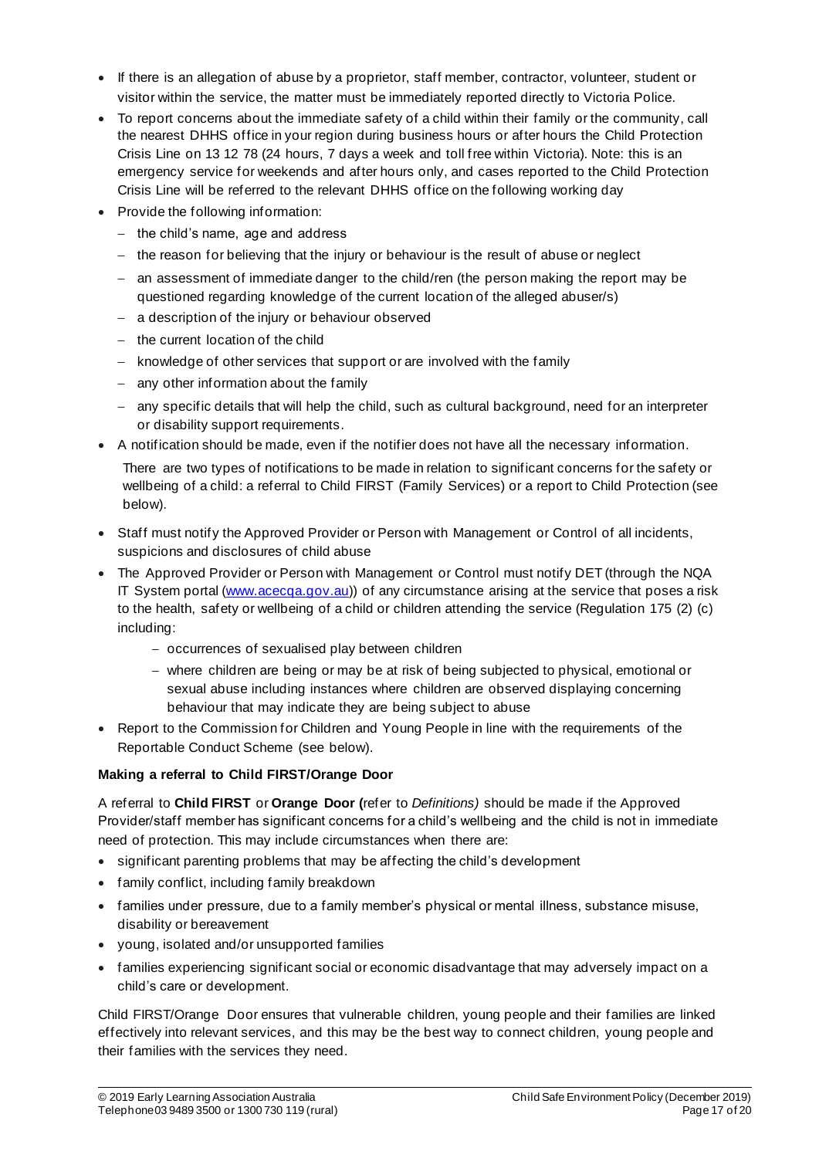- If there is an allegation of abuse by a proprietor, staff member, contractor, volunteer, student or visitor within the service, the matter must be immediately reported directly to Victoria Police.
- To report concerns about the immediate safety of a child within their family or the community, call the nearest DHHS office in your region during business hours or after hours the Child Protection Crisis Line on 13 12 78 (24 hours, 7 days a week and toll free within Victoria). Note: this is an emergency service for weekends and after hours only, and cases reported to the Child Protection Crisis Line will be referred to the relevant DHHS office on the following working day
- Provide the following information:
	- − the child's name, age and address
	- − the reason for believing that the injury or behaviour is the result of abuse or neglect
	- − an assessment of immediate danger to the child/ren (the person making the report may be questioned regarding knowledge of the current location of the alleged abuser/s)
	- − a description of the injury or behaviour observed
	- − the current location of the child
	- − knowledge of other services that support or are involved with the family
	- − any other information about the family
	- − any specific details that will help the child, such as cultural background, need for an interpreter or disability support requirements.
- A notification should be made, even if the notifier does not have all the necessary information.

There are two types of notifications to be made in relation to significant concerns for the safety or wellbeing of a child: a referral to Child FIRST (Family Services) or a report to Child Protection (see below).

- Staff must notify the Approved Provider or Person with Management or Control of all incidents, suspicions and disclosures of child abuse
- The Approved Provider or Person with Management or Control must notify DET (through the NQA IT System portal (www.acecqa.gov.au)) of any circumstance arising at the service that poses a risk to the health, safety or wellbeing of a child or children attending the service (Regulation 175 (2) (c) including:
	- − occurrences of sexualised play between children
	- − where children are being or may be at risk of being subjected to physical, emotional or sexual abuse including instances where children are observed displaying concerning behaviour that may indicate they are being subject to abuse
- Report to the Commission for Children and Young People in line with the requirements of the Reportable Conduct Scheme (see below).

### **Making a referral to Child FIRST/Orange Door**

A referral to **Child FIRST** or **Orange Door (**refer to *Definitions)* should be made if the Approved Provider/staff member has significant concerns for a child's wellbeing and the child is not in immediate need of protection. This may include circumstances when there are:

- significant parenting problems that may be affecting the child's development
- family conflict, including family breakdown
- families under pressure, due to a family member's physical or mental illness, substance misuse, disability or bereavement
- young, isolated and/or unsupported families
- families experiencing significant social or economic disadvantage that may adversely impact on a child's care or development.

Child FIRST/Orange Door ensures that vulnerable children, young people and their families are linked effectively into relevant services, and this may be the best way to connect children, young people and their families with the services they need.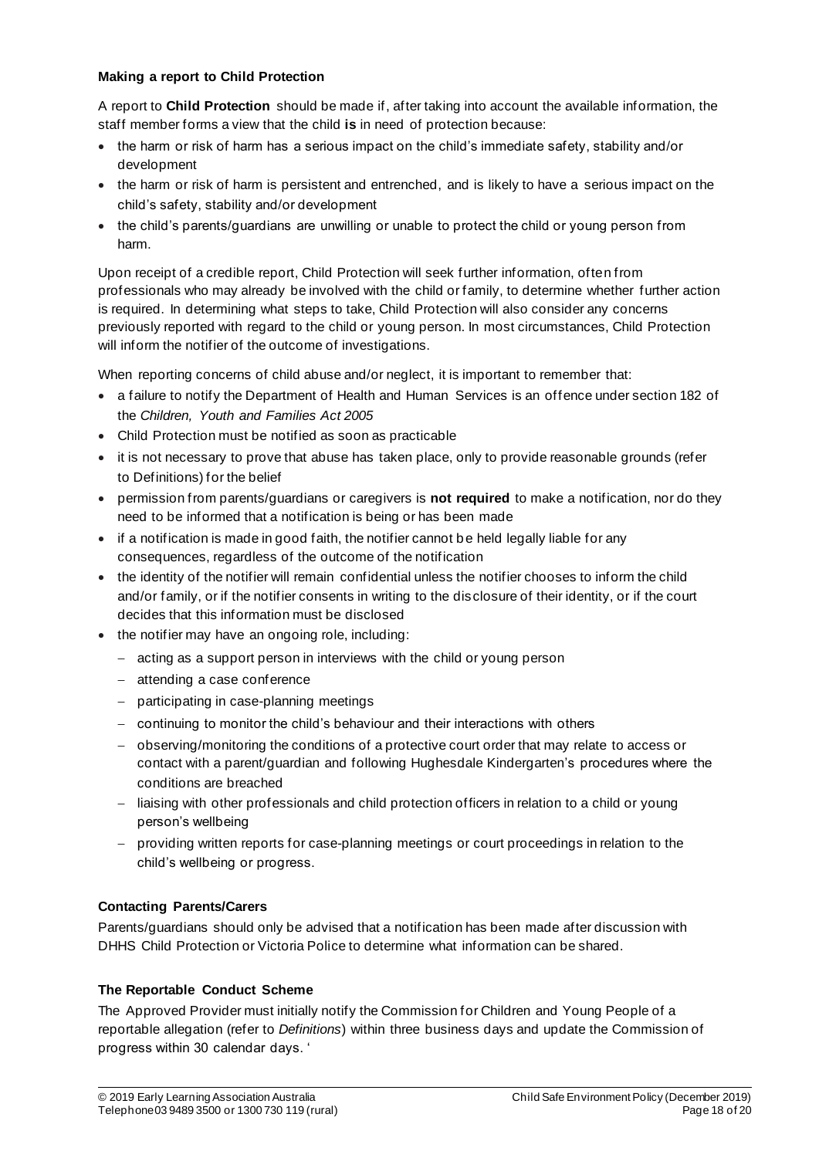### **Making a report to Child Protection**

A report to **Child Protection** should be made if, after taking into account the available information, the staff member forms a view that the child **is** in need of protection because:

- the harm or risk of harm has a serious impact on the child's immediate safety, stability and/or development
- the harm or risk of harm is persistent and entrenched, and is likely to have a serious impact on the child's safety, stability and/or development
- the child's parents/guardians are unwilling or unable to protect the child or young person from harm.

Upon receipt of a credible report, Child Protection will seek further information, often from professionals who may already be involved with the child or family, to determine whether further action is required. In determining what steps to take, Child Protection will also consider any concerns previously reported with regard to the child or young person. In most circumstances, Child Protection will inform the notifier of the outcome of investigations.

When reporting concerns of child abuse and/or neglect, it is important to remember that:

- a failure to notify the Department of Health and Human Services is an offence under section 182 of the *Children, Youth and Families Act 2005*
- Child Protection must be notified as soon as practicable
- it is not necessary to prove that abuse has taken place, only to provide reasonable grounds (refer to Definitions) for the belief
- permission from parents/guardians or caregivers is **not required** to make a notification, nor do they need to be informed that a notification is being or has been made
- if a notification is made in good faith, the notifier cannot be held legally liable for any consequences, regardless of the outcome of the notification
- the identity of the notifier will remain confidential unless the notifier chooses to inform the child and/or family, or if the notifier consents in writing to the disclosure of their identity, or if the court decides that this information must be disclosed
- the notifier may have an ongoing role, including:
	- − acting as a support person in interviews with the child or young person
	- − attending a case conference
	- − participating in case-planning meetings
	- − continuing to monitor the child's behaviour and their interactions with others
	- − observing/monitoring the conditions of a protective court order that may relate to access or contact with a parent/guardian and following Hughesdale Kindergarten's procedures where the conditions are breached
	- − liaising with other professionals and child protection officers in relation to a child or young person's wellbeing
	- − providing written reports for case-planning meetings or court proceedings in relation to the child's wellbeing or progress.

### **Contacting Parents/Carers**

Parents/guardians should only be advised that a notification has been made after discussion with DHHS Child Protection or Victoria Police to determine what information can be shared.

#### **The Reportable Conduct Scheme**

The Approved Provider must initially notify the Commission for Children and Young People of a reportable allegation (refer to *Definitions*) within three business days and update the Commission of progress within 30 calendar days. '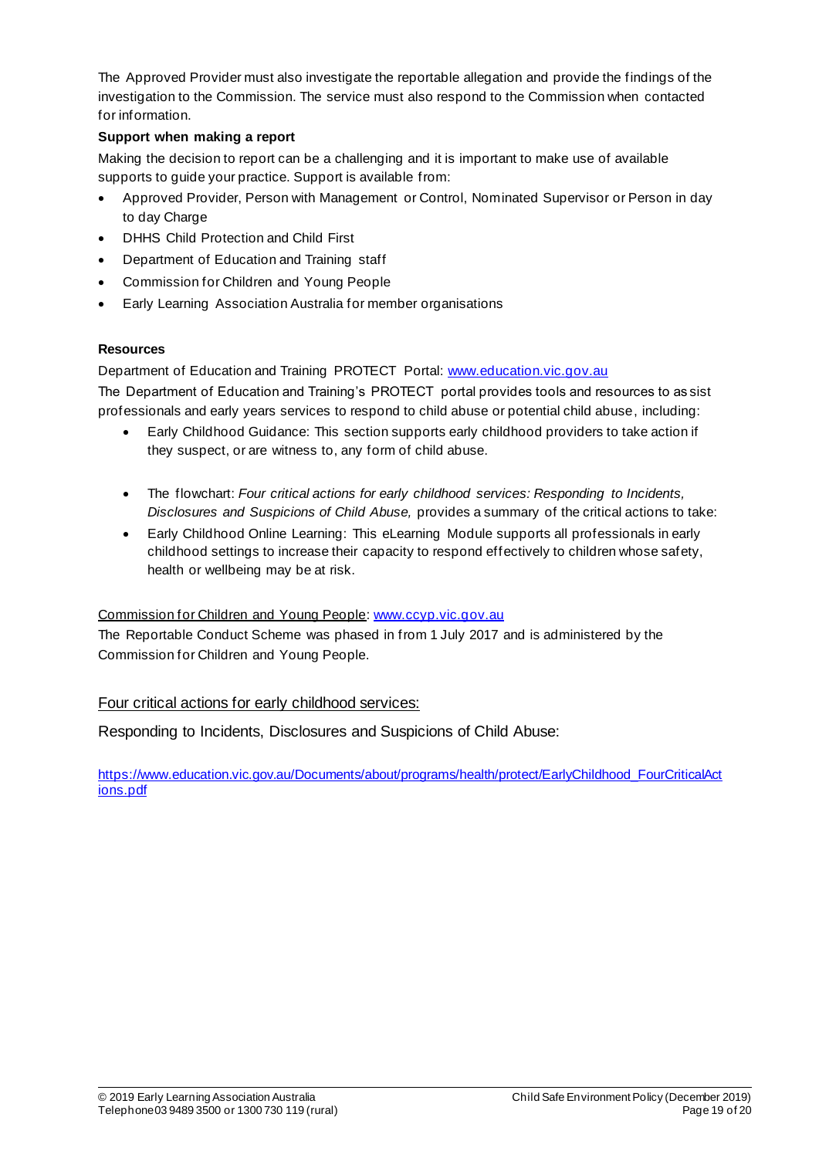The Approved Provider must also investigate the reportable allegation and provide the findings of the investigation to the Commission. The service must also respond to the Commission when contacted for information.

### **Support when making a report**

Making the decision to report can be a challenging and it is important to make use of available supports to guide your practice. Support is available from:

- Approved Provider, Person with Management or Control, Nominated Supervisor or Person in day to day Charge
- DHHS Child Protection and Child First
- Department of Education and Training staff
- Commission for Children and Young People
- Early Learning Association Australia for member organisations

### **Resources**

Department of Education and Training PROTECT Portal: www.education.vic.gov.au

The Department of Education and Training's PROTECT portal provides tools and resources to as sist professionals and early years services to respond to child abuse or potential child abuse, including:

- Early Childhood Guidance: This section supports early childhood providers to take action if they suspect, or are witness to, any form of child abuse.
- The flowchart: *Four critical actions for early childhood services: Responding to Incidents, Disclosures and Suspicions of Child Abuse,* provides a summary of the critical actions to take:
- Early Childhood Online Learning: This eLearning Module supports all professionals in early childhood settings to increase their capacity to respond effectively to children whose safety, health or wellbeing may be at risk.

### Commission for Children and Young People: www.ccyp.vic.gov.au

The Reportable Conduct Scheme was phased in from 1 July 2017 and is administered by the Commission for Children and Young People.

### Four critical actions for early childhood services:

Responding to Incidents, Disclosures and Suspicions of Child Abuse:

https://www.education.vic.gov.au/Documents/about/programs/health/protect/EarlyChildhood\_FourCriticalAct ions.pdf